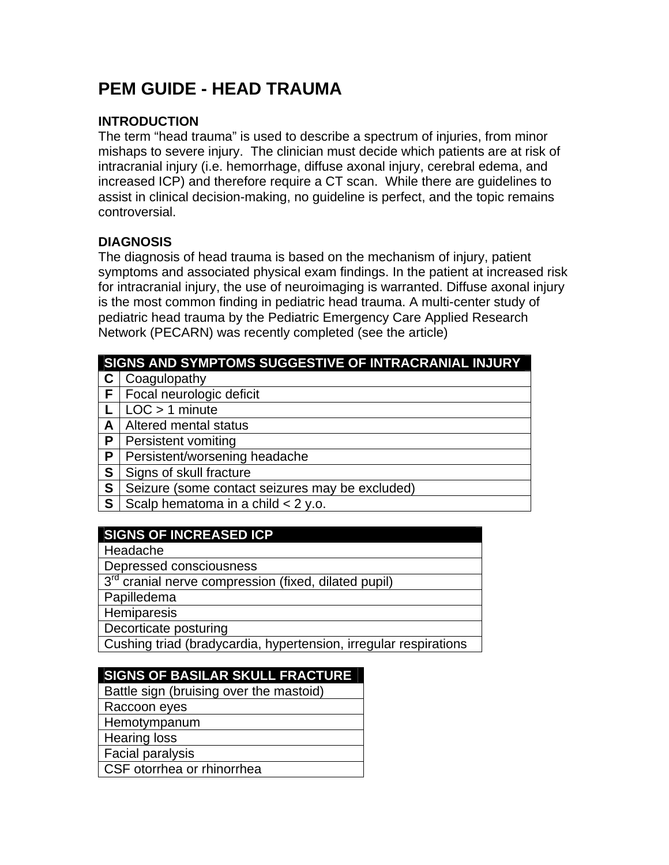# **PEM GUIDE - HEAD TRAUMA**

#### **INTRODUCTION**

The term "head trauma" is used to describe a spectrum of injuries, from minor mishaps to severe injury. The clinician must decide which patients are at risk of intracranial injury (i.e. hemorrhage, diffuse axonal injury, cerebral edema, and increased ICP) and therefore require a CT scan. While there are guidelines to assist in clinical decision-making, no guideline is perfect, and the topic remains controversial.

#### **DIAGNOSIS**

The diagnosis of head trauma is based on the mechanism of injury, patient symptoms and associated physical exam findings. In the patient at increased risk for intracranial injury, the use of neuroimaging is warranted. Diffuse axonal injury is the most common finding in pediatric head trauma. A multi-center study of pediatric head trauma by the Pediatric Emergency Care Applied Research Network (PECARN) was recently completed (see the article)

| SIGNS AND SYMPTOMS SUGGESTIVE OF INTRACRANIAL INJURY |                                                 |  |  |  |
|------------------------------------------------------|-------------------------------------------------|--|--|--|
|                                                      | Coagulopathy                                    |  |  |  |
| F.                                                   | Focal neurologic deficit                        |  |  |  |
|                                                      | $LOC > 1$ minute                                |  |  |  |
| A                                                    | Altered mental status                           |  |  |  |
| P                                                    | <b>Persistent vomiting</b>                      |  |  |  |
| P                                                    | Persistent/worsening headache                   |  |  |  |
| S                                                    | Signs of skull fracture                         |  |  |  |
| S                                                    | Seizure (some contact seizures may be excluded) |  |  |  |
| S                                                    | Scalp hematoma in a child $<$ 2 y.o.            |  |  |  |
|                                                      |                                                 |  |  |  |

## **SIGNS OF INCREASED ICP**

Headache

Depressed consciousness

3rd cranial nerve compression (fixed, dilated pupil)

Papilledema

**Hemiparesis** 

Decorticate posturing

Cushing triad (bradycardia, hypertension, irregular respirations

## **SIGNS OF BASILAR SKULL FRACTURE**

Battle sign (bruising over the mastoid)

Raccoon eyes

**Hemotympanum** 

Hearing loss

Facial paralysis

CSF otorrhea or rhinorrhea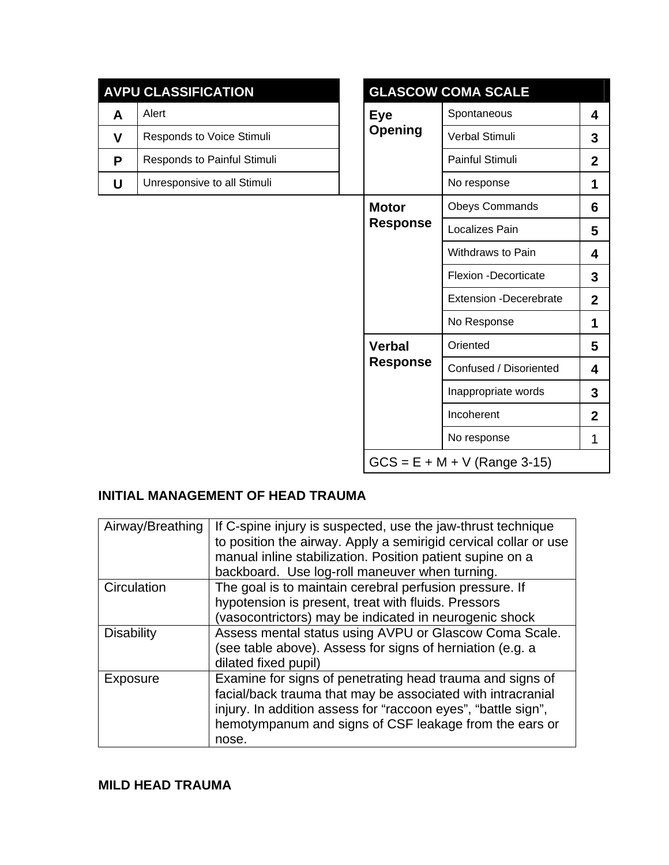|   | <b>AVPU CLASSIFICATION</b>  | <b>GLASCOW COMA SCALE</b>    |                 |                                |                |
|---|-----------------------------|------------------------------|-----------------|--------------------------------|----------------|
| A | Alert                       | <b>Eye</b><br><b>Opening</b> |                 | Spontaneous                    | 4              |
| V | Responds to Voice Stimuli   |                              | Verbal Stimuli  | 3                              |                |
| P | Responds to Painful Stimuli |                              |                 | Painful Stimuli                | $\overline{2}$ |
| U | Unresponsive to all Stimuli |                              |                 | No response                    | 1              |
|   |                             | <b>Motor</b>                 |                 | <b>Obeys Commands</b>          | 6              |
|   |                             |                              | <b>Response</b> | Localizes Pain                 | 5              |
|   |                             |                              |                 | Withdraws to Pain              | 4              |
|   |                             |                              |                 | Flexion -Decorticate           | 3              |
|   |                             |                              |                 | <b>Extension -Decerebrate</b>  | $\overline{2}$ |
|   |                             | <b>Verbal</b>                |                 | No Response                    | 1              |
|   |                             |                              | Oriented        | 5                              |                |
|   |                             |                              | <b>Response</b> | Confused / Disoriented         | 4              |
|   |                             |                              |                 | Inappropriate words            | 3              |
|   |                             |                              |                 | Incoherent                     | $\overline{2}$ |
|   |                             |                              |                 | No response                    | 1              |
|   |                             |                              |                 | $GCS = E + M + V$ (Range 3-15) |                |

## **INITIAL MANAGEMENT OF HEAD TRAUMA**

| Airway/Breathing  | If C-spine injury is suspected, use the jaw-thrust technique<br>to position the airway. Apply a semirigid cervical collar or use<br>manual inline stabilization. Position patient supine on a<br>backboard. Use log-roll maneuver when turning.              |
|-------------------|--------------------------------------------------------------------------------------------------------------------------------------------------------------------------------------------------------------------------------------------------------------|
| Circulation       | The goal is to maintain cerebral perfusion pressure. If<br>hypotension is present, treat with fluids. Pressors<br>(vasocontrictors) may be indicated in neurogenic shock                                                                                     |
| <b>Disability</b> | Assess mental status using AVPU or Glascow Coma Scale.<br>(see table above). Assess for signs of herniation (e.g. a<br>dilated fixed pupil)                                                                                                                  |
| Exposure          | Examine for signs of penetrating head trauma and signs of<br>facial/back trauma that may be associated with intracranial<br>injury. In addition assess for "raccoon eyes", "battle sign",<br>hemotympanum and signs of CSF leakage from the ears or<br>nose. |

#### **MILD HEAD TRAUMA**